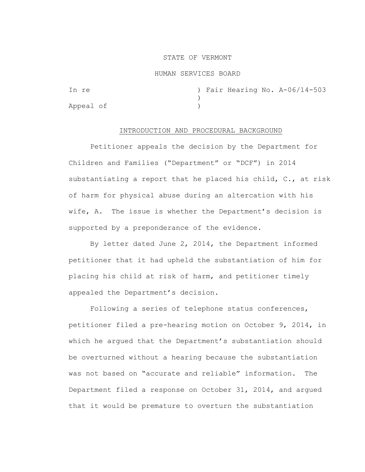### STATE OF VERMONT

#### HUMAN SERVICES BOARD

In re ) Fair Hearing No. A-06/14-503 ) Appeal of )

## INTRODUCTION AND PROCEDURAL BACKGROUND

Petitioner appeals the decision by the Department for Children and Families ("Department" or "DCF") in 2014 substantiating a report that he placed his child, C., at risk of harm for physical abuse during an altercation with his wife, A. The issue is whether the Department's decision is supported by a preponderance of the evidence.

By letter dated June 2, 2014, the Department informed petitioner that it had upheld the substantiation of him for placing his child at risk of harm, and petitioner timely appealed the Department's decision.

Following a series of telephone status conferences, petitioner filed a pre-hearing motion on October 9, 2014, in which he argued that the Department's substantiation should be overturned without a hearing because the substantiation was not based on "accurate and reliable" information. The Department filed a response on October 31, 2014, and argued that it would be premature to overturn the substantiation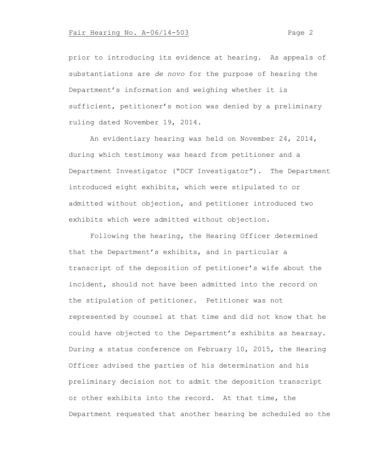prior to introducing its evidence at hearing. As appeals of substantiations are *de novo* for the purpose of hearing the Department's information and weighing whether it is sufficient, petitioner's motion was denied by a preliminary ruling dated November 19, 2014.

An evidentiary hearing was held on November 24, 2014, during which testimony was heard from petitioner and a Department Investigator ("DCF Investigator"). The Department introduced eight exhibits, which were stipulated to or admitted without objection, and petitioner introduced two exhibits which were admitted without objection.

Following the hearing, the Hearing Officer determined that the Department's exhibits, and in particular a transcript of the deposition of petitioner's wife about the incident, should not have been admitted into the record on the stipulation of petitioner. Petitioner was not represented by counsel at that time and did not know that he could have objected to the Department's exhibits as hearsay. During a status conference on February 10, 2015, the Hearing Officer advised the parties of his determination and his preliminary decision not to admit the deposition transcript or other exhibits into the record. At that time, the Department requested that another hearing be scheduled so the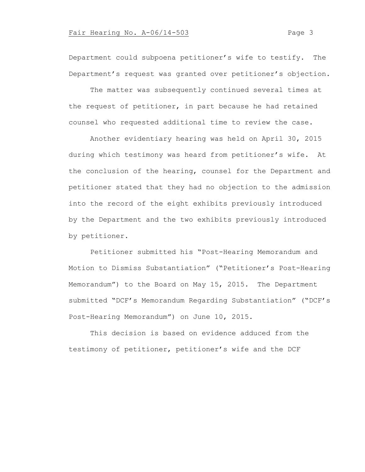Department could subpoena petitioner's wife to testify. The Department's request was granted over petitioner's objection.

The matter was subsequently continued several times at the request of petitioner, in part because he had retained counsel who requested additional time to review the case.

Another evidentiary hearing was held on April 30, 2015 during which testimony was heard from petitioner's wife. At the conclusion of the hearing, counsel for the Department and petitioner stated that they had no objection to the admission into the record of the eight exhibits previously introduced by the Department and the two exhibits previously introduced by petitioner.

Petitioner submitted his "Post-Hearing Memorandum and Motion to Dismiss Substantiation" ("Petitioner's Post-Hearing Memorandum") to the Board on May 15, 2015. The Department submitted "DCF's Memorandum Regarding Substantiation" ("DCF's Post-Hearing Memorandum") on June 10, 2015.

This decision is based on evidence adduced from the testimony of petitioner, petitioner's wife and the DCF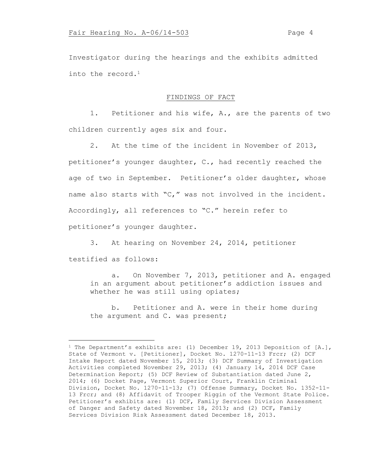Investigator during the hearings and the exhibits admitted into the record. $<sup>1</sup>$ </sup>

## FINDINGS OF FACT

1. Petitioner and his wife, A., are the parents of two children currently ages six and four.

2. At the time of the incident in November of 2013, petitioner's younger daughter, C., had recently reached the age of two in September. Petitioner's older daughter, whose name also starts with "C," was not involved in the incident. Accordingly, all references to "C." herein refer to petitioner's younger daughter.

3. At hearing on November 24, 2014, petitioner testified as follows:

a. On November 7, 2013, petitioner and A. engaged in an argument about petitioner's addiction issues and whether he was still using opiates;

b. Petitioner and A. were in their home during the argument and C. was present;

<sup>&</sup>lt;sup>1</sup> The Department's exhibits are: (1) December 19, 2013 Deposition of  $[A.]$ , State of Vermont v. [Petitioner], Docket No. 1270-11-13 Frcr; (2) DCF Intake Report dated November 15, 2013; (3) DCF Summary of Investigation Activities completed November 29, 2013; (4) January 14, 2014 DCF Case Determination Report; (5) DCF Review of Substantiation dated June 2, 2014; (6) Docket Page, Vermont Superior Court, Franklin Criminal Division, Docket No. 1270-11-13; (7) Offense Summary, Docket No. 1352-11- 13 Frcr; and (8) Affidavit of Trooper Riggin of the Vermont State Police. Petitioner's exhibits are: (1) DCF, Family Services Division Assessment of Danger and Safety dated November 18, 2013; and (2) DCF, Family Services Division Risk Assessment dated December 18, 2013.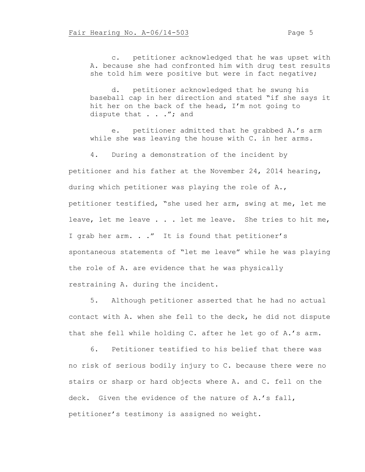c. petitioner acknowledged that he was upset with A. because she had confronted him with drug test results she told him were positive but were in fact negative;

d. petitioner acknowledged that he swung his baseball cap in her direction and stated "if she says it hit her on the back of the head, I'm not going to dispute that . . ."; and

e. petitioner admitted that he grabbed A.'s arm while she was leaving the house with C. in her arms.

4. During a demonstration of the incident by petitioner and his father at the November 24, 2014 hearing, during which petitioner was playing the role of A., petitioner testified, "she used her arm, swing at me, let me leave, let me leave . . . let me leave. She tries to hit me, I grab her arm. . ." It is found that petitioner's spontaneous statements of "let me leave" while he was playing the role of A. are evidence that he was physically restraining A. during the incident.

5. Although petitioner asserted that he had no actual contact with A. when she fell to the deck, he did not dispute that she fell while holding C. after he let go of A.'s arm.

6. Petitioner testified to his belief that there was no risk of serious bodily injury to C. because there were no stairs or sharp or hard objects where A. and C. fell on the deck. Given the evidence of the nature of A.'s fall, petitioner's testimony is assigned no weight.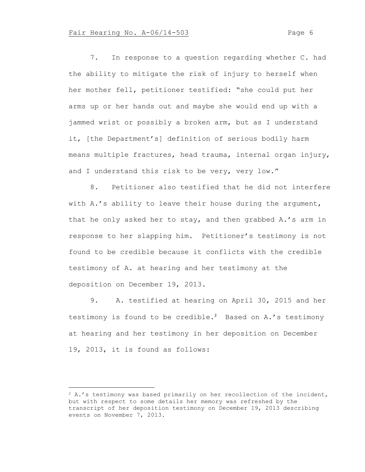7. In response to a question regarding whether C. had the ability to mitigate the risk of injury to herself when her mother fell, petitioner testified: "she could put her arms up or her hands out and maybe she would end up with a jammed wrist or possibly a broken arm, but as I understand it, [the Department's] definition of serious bodily harm means multiple fractures, head trauma, internal organ injury, and I understand this risk to be very, very low."

8. Petitioner also testified that he did not interfere with A.'s ability to leave their house during the argument, that he only asked her to stay, and then grabbed A.'s arm in response to her slapping him. Petitioner's testimony is not found to be credible because it conflicts with the credible testimony of A. at hearing and her testimony at the deposition on December 19, 2013.

9. A. testified at hearing on April 30, 2015 and her testimony is found to be credible.<sup>2</sup> Based on A.'s testimony at hearing and her testimony in her deposition on December 19, 2013, it is found as follows:

<sup>2</sup> A.'s testimony was based primarily on her recollection of the incident, but with respect to some details her memory was refreshed by the transcript of her deposition testimony on December 19, 2013 describing events on November 7, 2013.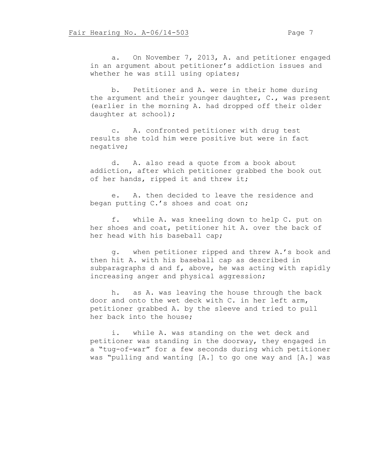a. On November 7, 2013, A. and petitioner engaged in an argument about petitioner's addiction issues and whether he was still using opiates;

b. Petitioner and A. were in their home during the argument and their younger daughter, C., was present (earlier in the morning A. had dropped off their older daughter at school);

c. A. confronted petitioner with drug test results she told him were positive but were in fact negative;

d. A. also read a quote from a book about addiction, after which petitioner grabbed the book out of her hands, ripped it and threw it;

e. A. then decided to leave the residence and began putting C.'s shoes and coat on;

f. while A. was kneeling down to help C. put on her shoes and coat, petitioner hit A. over the back of her head with his baseball cap;

g. when petitioner ripped and threw A.'s book and then hit A. with his baseball cap as described in subparagraphs d and f, above, he was acting with rapidly increasing anger and physical aggression;

h. as A. was leaving the house through the back door and onto the wet deck with C. in her left arm, petitioner grabbed A. by the sleeve and tried to pull her back into the house;

i. while A. was standing on the wet deck and petitioner was standing in the doorway, they engaged in a "tug-of-war" for a few seconds during which petitioner was "pulling and wanting [A.] to go one way and [A.] was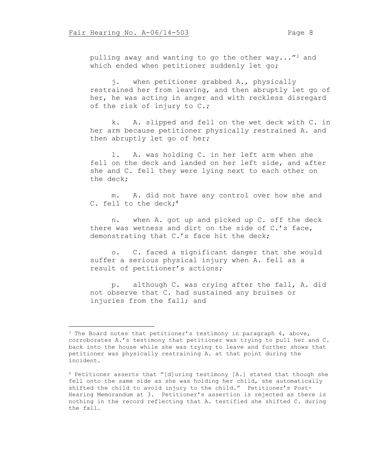pulling away and wanting to go the other way..."<sup>3</sup> and which ended when petitioner suddenly let go;

j. when petitioner grabbed A., physically restrained her from leaving, and then abruptly let go of her, he was acting in anger and with reckless disregard of the risk of injury to C.;

k. A. slipped and fell on the wet deck with C. in her arm because petitioner physically restrained A. and then abruptly let go of her;

l. A. was holding C. in her left arm when she fell on the deck and landed on her left side, and after she and C. fell they were lying next to each other on the deck;

m. A. did not have any control over how she and C. fell to the deck;<sup>4</sup>

n. when A. got up and picked up C. off the deck there was wetness and dirt on the side of C.'s face, demonstrating that C.'s face hit the deck;

o. C. faced a significant danger that she would suffer a serious physical injury when A. fell as a result of petitioner's actions;

p. although C. was crying after the fall, A. did not observe that C. had sustained any bruises or injuries from the fall; and

<sup>&</sup>lt;sup>3</sup> The Board notes that petitioner's testimony in paragraph 4, above, corroborates A.'s testimony that petitioner was trying to pull her and C. back into the house while she was trying to leave and further shows that petitioner was physically restraining A. at that point during the incident.

<sup>4</sup> Petitioner asserts that "[d]uring testimony [A.] stated that though she fell onto the same side as she was holding her child, she automatically shifted the child to avoid injury to the child." Petitioner's Post-Hearing Memorandum at 3. Petitioner's assertion is rejected as there is nothing in the record reflecting that A. testified she shifted C. during the fall.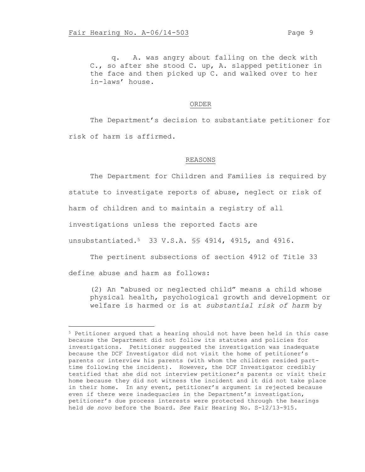q. A. was angry about falling on the deck with C., so after she stood C. up, A. slapped petitioner in the face and then picked up C. and walked over to her in-laws' house.

#### ORDER

The Department's decision to substantiate petitioner for risk of harm is affirmed.

#### REASONS

The Department for Children and Families is required by statute to investigate reports of abuse, neglect or risk of harm of children and to maintain a registry of all investigations unless the reported facts are unsubstantiated.5 33 V.S.A. §§ 4914, 4915, and 4916.

The pertinent subsections of section 4912 of Title 33 define abuse and harm as follows:

(2) An "abused or neglected child" means a child whose physical health, psychological growth and development or welfare is harmed or is at *substantial risk of harm* by

<sup>5</sup> Petitioner argued that a hearing should not have been held in this case because the Department did not follow its statutes and policies for investigations. Petitioner suggested the investigation was inadequate because the DCF Investigator did not visit the home of petitioner's parents or interview his parents (with whom the children resided parttime following the incident). However, the DCF Investigator credibly testified that she did not interview petitioner's parents or visit their home because they did not witness the incident and it did not take place in their home. In any event, petitioner's argument is rejected because even if there were inadequacies in the Department's investigation, petitioner's due process interests were protected through the hearings held *de novo* before the Board. *See* Fair Hearing No. S-12/13-915.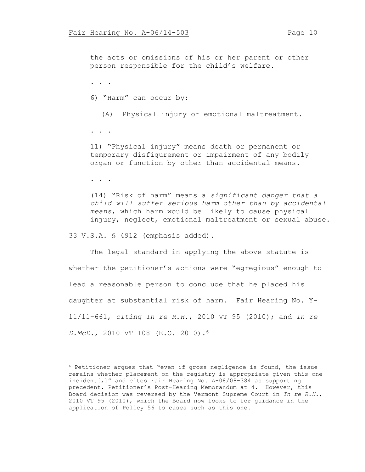the acts or omissions of his or her parent or other person responsible for the child's welfare.

. . .

6) "Harm" can occur by:

(A) Physical injury or emotional maltreatment.

. . .

11) "Physical injury" means death or permanent or temporary disfigurement or impairment of any bodily organ or function by other than accidental means.

. . .

(14) "Risk of harm" means a *significant danger that a child will suffer serious harm other than by accidental means*, which harm would be likely to cause physical injury, neglect, emotional maltreatment or sexual abuse.

33 V.S.A. § 4912 (emphasis added).

The legal standard in applying the above statute is whether the petitioner's actions were "egregious" enough to lead a reasonable person to conclude that he placed his daughter at substantial risk of harm. Fair Hearing No. Y-11/11-661, *citing In re R.H.*, 2010 VT 95 (2010); and *In re D.McD.*, 2010 VT 108 (E.O. 2010).<sup>6</sup>

<sup>6</sup> Petitioner argues that "even if gross negligence is found, the issue remains whether placement on the registry is appropriate given this one incident[,]" and cites Fair Hearing No. A-08/08-384 as supporting precedent. Petitioner's Post-Hearing Memorandum at 4. However, this Board decision was reversed by the Vermont Supreme Court in *In re R.H.*, 2010 VT 95 (2010), which the Board now looks to for guidance in the application of Policy 56 to cases such as this one.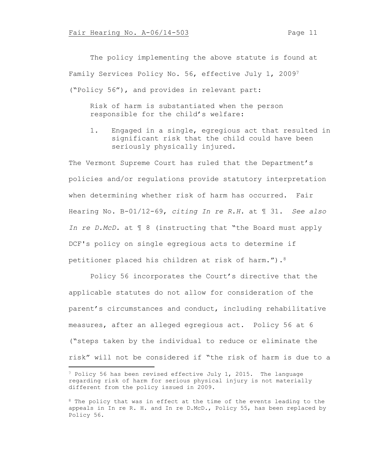The policy implementing the above statute is found at Family Services Policy No. 56, effective July 1, 2009<sup>7</sup> ("Policy 56"), and provides in relevant part:

Risk of harm is substantiated when the person responsible for the child's welfare:

1. Engaged in a single, egregious act that resulted in significant risk that the child could have been seriously physically injured.

The Vermont Supreme Court has ruled that the Department's policies and/or regulations provide statutory interpretation when determining whether risk of harm has occurred. Fair Hearing No. B-01/12-69, *citing In re R.H.* at ¶ 31. *See also In re D.McD.* at ¶ 8 (instructing that "the Board must apply DCF's policy on single egregious acts to determine if petitioner placed his children at risk of harm.").<sup>8</sup>

Policy 56 incorporates the Court's directive that the applicable statutes do not allow for consideration of the parent's circumstances and conduct, including rehabilitative measures, after an alleged egregious act. Policy 56 at 6 ("steps taken by the individual to reduce or eliminate the risk" will not be considered if "the risk of harm is due to a

<sup>7</sup> Policy 56 has been revised effective July 1, 2015. The language regarding risk of harm for serious physical injury is not materially different from the policy issued in 2009.

<sup>&</sup>lt;sup>8</sup> The policy that was in effect at the time of the events leading to the appeals in In re R. H. and In re D.McD., Policy 55, has been replaced by Policy 56.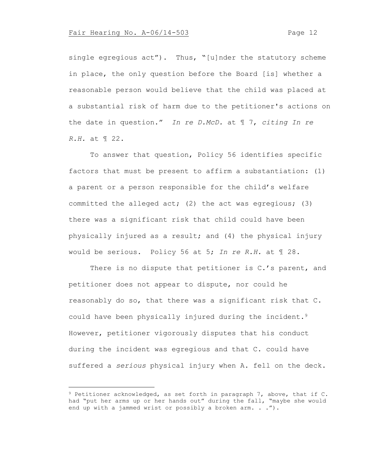single egregious act"). Thus, "[u]nder the statutory scheme in place, the only question before the Board [is] whether a reasonable person would believe that the child was placed at a substantial risk of harm due to the petitioner's actions on the date in question." *In re D.McD.* at ¶ 7, *citing In re R.H.* at ¶ 22.

To answer that question, Policy 56 identifies specific factors that must be present to affirm a substantiation: (1) a parent or a person responsible for the child's welfare committed the alleged act; (2) the act was egregious; (3) there was a significant risk that child could have been physically injured as a result; and (4) the physical injury would be serious. Policy 56 at 5; *In re R.H.* at ¶ 28.

There is no dispute that petitioner is C.'s parent, and petitioner does not appear to dispute, nor could he reasonably do so, that there was a significant risk that C. could have been physically injured during the incident.<sup>9</sup> However, petitioner vigorously disputes that his conduct during the incident was egregious and that C. could have suffered a *serious* physical injury when A. fell on the deck.

<sup>9</sup> Petitioner acknowledged, as set forth in paragraph 7, above, that if C. had "put her arms up or her hands out" during the fall, "maybe she would end up with a jammed wrist or possibly a broken arm. . .").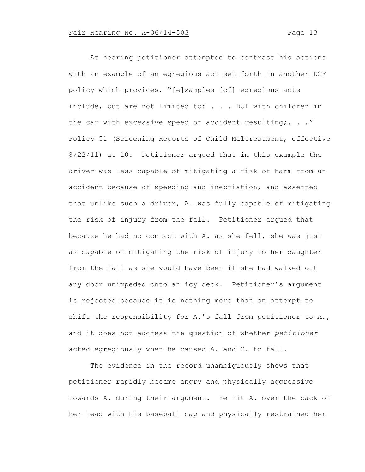At hearing petitioner attempted to contrast his actions with an example of an egregious act set forth in another DCF policy which provides, "[e]xamples [of] egregious acts include, but are not limited to: . . . DUI with children in the car with excessive speed or accident resulting; . . . " Policy 51 (Screening Reports of Child Maltreatment, effective 8/22/11) at 10. Petitioner argued that in this example the driver was less capable of mitigating a risk of harm from an accident because of speeding and inebriation, and asserted that unlike such a driver, A. was fully capable of mitigating the risk of injury from the fall. Petitioner argued that because he had no contact with A. as she fell, she was just as capable of mitigating the risk of injury to her daughter from the fall as she would have been if she had walked out any door unimpeded onto an icy deck. Petitioner's argument is rejected because it is nothing more than an attempt to shift the responsibility for A.'s fall from petitioner to A., and it does not address the question of whether *petitioner* acted egregiously when he caused A. and C. to fall.

The evidence in the record unambiguously shows that petitioner rapidly became angry and physically aggressive towards A. during their argument. He hit A. over the back of her head with his baseball cap and physically restrained her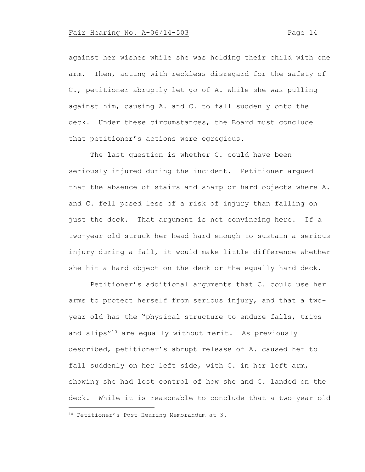against her wishes while she was holding their child with one arm. Then, acting with reckless disregard for the safety of C., petitioner abruptly let go of A. while she was pulling against him, causing A. and C. to fall suddenly onto the deck. Under these circumstances, the Board must conclude that petitioner's actions were egregious.

The last question is whether C. could have been seriously injured during the incident. Petitioner argued that the absence of stairs and sharp or hard objects where A. and C. fell posed less of a risk of injury than falling on just the deck. That argument is not convincing here. If a two-year old struck her head hard enough to sustain a serious injury during a fall, it would make little difference whether she hit a hard object on the deck or the equally hard deck.

Petitioner's additional arguments that C. could use her arms to protect herself from serious injury, and that a twoyear old has the "physical structure to endure falls, trips and slips"<sup>10</sup> are equally without merit. As previously described, petitioner's abrupt release of A. caused her to fall suddenly on her left side, with C. in her left arm, showing she had lost control of how she and C. landed on the deck. While it is reasonable to conclude that a two-year old

<sup>10</sup> Petitioner's Post-Hearing Memorandum at 3.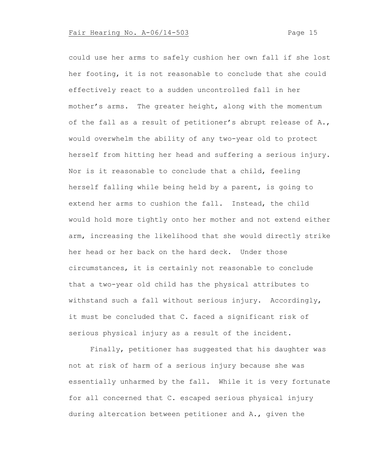could use her arms to safely cushion her own fall if she lost her footing, it is not reasonable to conclude that she could effectively react to a sudden uncontrolled fall in her mother's arms. The greater height, along with the momentum of the fall as a result of petitioner's abrupt release of A., would overwhelm the ability of any two-year old to protect herself from hitting her head and suffering a serious injury. Nor is it reasonable to conclude that a child, feeling herself falling while being held by a parent, is going to extend her arms to cushion the fall. Instead, the child would hold more tightly onto her mother and not extend either arm, increasing the likelihood that she would directly strike her head or her back on the hard deck. Under those circumstances, it is certainly not reasonable to conclude that a two-year old child has the physical attributes to withstand such a fall without serious injury. Accordingly, it must be concluded that C. faced a significant risk of serious physical injury as a result of the incident.

Finally, petitioner has suggested that his daughter was not at risk of harm of a serious injury because she was essentially unharmed by the fall. While it is very fortunate for all concerned that C. escaped serious physical injury during altercation between petitioner and A., given the